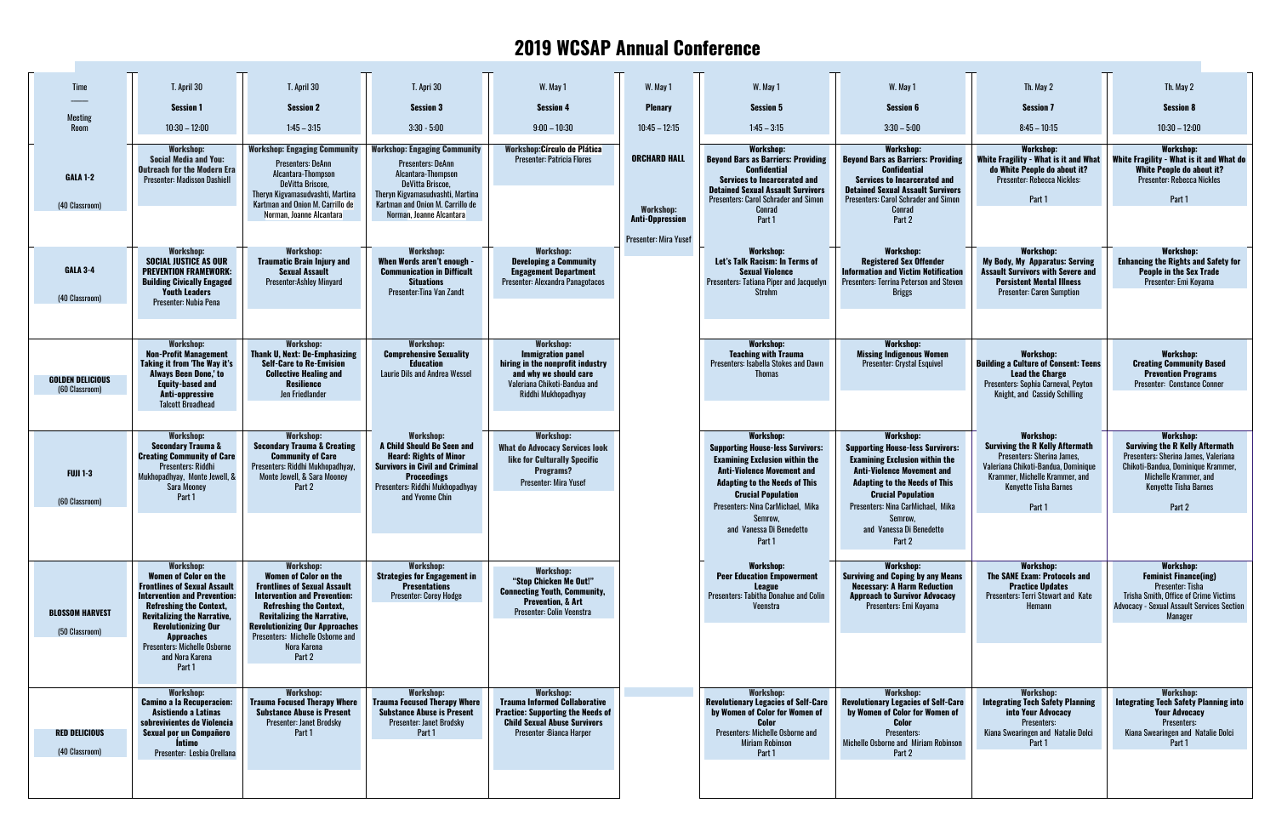## **2019 WCSAP Annual Conference**

| <b>Time</b>                               | T. April 30                                                                                                                                                                                                                                                                                                                   | T. April 30                                                                                                                                                                                                                                                                                                  | T. Apri 30                                                                                                                                                                                                    | W. May 1                                                                                                                                                                 | W. May 1                                | W. May 1                                                                                                                                                                                                                                            | W. May 1                                                                                                                                                                                                                                            | Th. May 2                                                                                                                                                                                                   | Th. May 2                                                                                                                                                                                                   |
|-------------------------------------------|-------------------------------------------------------------------------------------------------------------------------------------------------------------------------------------------------------------------------------------------------------------------------------------------------------------------------------|--------------------------------------------------------------------------------------------------------------------------------------------------------------------------------------------------------------------------------------------------------------------------------------------------------------|---------------------------------------------------------------------------------------------------------------------------------------------------------------------------------------------------------------|--------------------------------------------------------------------------------------------------------------------------------------------------------------------------|-----------------------------------------|-----------------------------------------------------------------------------------------------------------------------------------------------------------------------------------------------------------------------------------------------------|-----------------------------------------------------------------------------------------------------------------------------------------------------------------------------------------------------------------------------------------------------|-------------------------------------------------------------------------------------------------------------------------------------------------------------------------------------------------------------|-------------------------------------------------------------------------------------------------------------------------------------------------------------------------------------------------------------|
|                                           | <b>Session 1</b>                                                                                                                                                                                                                                                                                                              | <b>Session 2</b>                                                                                                                                                                                                                                                                                             | <b>Session 3</b>                                                                                                                                                                                              | <b>Session 4</b>                                                                                                                                                         | <b>Plenary</b>                          | <b>Session 5</b>                                                                                                                                                                                                                                    | <b>Session 6</b>                                                                                                                                                                                                                                    | <b>Session 7</b>                                                                                                                                                                                            | <b>Session 8</b>                                                                                                                                                                                            |
| Meeting<br>Room                           | $10:30 - 12:00$                                                                                                                                                                                                                                                                                                               | $1:45 - 3:15$                                                                                                                                                                                                                                                                                                | $3:30 - 5:00$                                                                                                                                                                                                 | $9:00 - 10:30$                                                                                                                                                           | $10:45 - 12:15$                         | $1:45 - 3:15$                                                                                                                                                                                                                                       | $3:30 - 5:00$                                                                                                                                                                                                                                       | $8:45 - 10:15$                                                                                                                                                                                              | $10:30 - 12:00$                                                                                                                                                                                             |
| <b>GALA 1-2</b><br>(40 Classroom)         | <b>Workshop:</b><br><b>Social Media and You:</b><br><b>Outreach for the Modern Era</b><br><b>Presenter: Madisson Dashiell</b>                                                                                                                                                                                                 | <b>Workshop: Engaging Community</b><br><b>Presenters: DeAnn</b><br>Alcantara-Thompson<br>DeVitta Briscoe,<br>Theryn Kigvamasudvashti, Martina<br>Kartman and Onion M. Carrillo de<br>Norman, Joanne Alcantara                                                                                                | <b>Workshop: Engaging Community</b><br><b>Presenters: DeAnn</b><br>Alcantara-Thompson<br>DeVitta Briscoe,<br>Thervn Kigvamasudvashti, Martina<br>Kartman and Onion M. Carrillo de<br>Norman, Joanne Alcantara | <b>Workshop:Círculo de Plática</b><br>Presenter: Patricia Flores                                                                                                         | <b>ORCHARD HALL</b><br><b>Workshop:</b> | <b>Workshop:</b><br><b>Beyond Bars as Barriers: Providing</b><br><b>Confidential</b><br><b>Services to Incarcerated and</b><br><b>Detained Sexual Assault Survivors</b><br><b>Presenters: Carol Schrader and Simon</b><br>Conrad                    | <b>Workshop:</b><br><b>Beyond Bars as Barriers: Providing</b><br><b>Confidential</b><br><b>Services to Incarcerated and</b><br><b>Detained Sexual Assault Survivors</b><br><b>Presenters: Carol Schrader and Simon</b><br>Conrad                    | <b>Workshop:</b><br>White Fragility - What is it and What<br>do White People do about it?<br>Presenter: Rebecca Nickles:<br>Part 1                                                                          | <b>Workshop:</b><br>White Fragility - What is it and What do<br>White People do about it?<br>Presenter: Rebecca Nickles<br>Part 1                                                                           |
|                                           |                                                                                                                                                                                                                                                                                                                               |                                                                                                                                                                                                                                                                                                              |                                                                                                                                                                                                               |                                                                                                                                                                          | <b>Anti-Oppression</b>                  | Part 1                                                                                                                                                                                                                                              | Part 2                                                                                                                                                                                                                                              |                                                                                                                                                                                                             |                                                                                                                                                                                                             |
| <b>GALA 3-4</b><br>(40 Classroom)         | <b>Workshop:</b><br><b>SOCIAL JUSTICE AS OUR</b><br><b>PREVENTION FRAMEWORK:</b><br><b>Building Civically Engaged</b><br><b>Youth Leaders</b><br>Presenter: Nubia Pena                                                                                                                                                        | <b>Workshop:</b><br><b>Traumatic Brain Injury and</b><br><b>Sexual Assault</b><br><b>Presenter:Ashlev Minvard</b>                                                                                                                                                                                            | <b>Workshop:</b><br>When Words aren't enough<br><b>Communication in Difficult</b><br><b>Situations</b><br>Presenter: Tina Van Zandt                                                                           | <b>Workshop:</b><br><b>Developing a Community</b><br><b>Engagement Department</b><br>Presenter: Alexandra Panagotacos                                                    | <b>Presenter: Mira Yusef</b>            | <b>Workshop:</b><br>Let's Talk Racism: In Terms of<br><b>Sexual Violence</b><br><b>Presenters: Tatiana Piper and Jacquelyn</b><br><b>Strohm</b>                                                                                                     | <b>Workshop:</b><br><b>Registered Sex Offender</b><br><b>Information and Victim Notification</b><br><b>Presenters: Terrina Peterson and Steven</b><br><b>Briggs</b>                                                                                 | <b>Workshop:</b><br><b>My Body, My Apparatus: Serving</b><br><b>Assault Survivors with Severe and</b><br><b>Persistent Mental Illness</b><br><b>Presenter: Caren Sumption</b>                               | <b>Workshop:</b><br><b>Enhancing the Rights and Safety for</b><br><b>People in the Sex Trade</b><br>Presenter: Emi Koyama                                                                                   |
|                                           |                                                                                                                                                                                                                                                                                                                               |                                                                                                                                                                                                                                                                                                              |                                                                                                                                                                                                               |                                                                                                                                                                          |                                         |                                                                                                                                                                                                                                                     |                                                                                                                                                                                                                                                     |                                                                                                                                                                                                             |                                                                                                                                                                                                             |
|                                           | <b>Workshop:</b><br><b>Non-Profit Management</b><br>Taking it from 'The Way it's                                                                                                                                                                                                                                              | <b>Workshop:</b><br><b>Thank U, Next: De-Emphasizing</b><br><b>Self-Care to Re-Envision</b>                                                                                                                                                                                                                  | <b>Workshop:</b><br><b>Comprehensive Sexuality</b><br><b>Education</b>                                                                                                                                        | <b>Workshop:</b><br><b>Immigration panel</b><br>hiring in the nonprofit industry                                                                                         |                                         | <b>Workshop:</b><br><b>Teaching with Trauma</b><br>Presenters: Isabella Stokes and Dawn                                                                                                                                                             | <b>Workshop:</b><br><b>Missing Indigenous Women</b><br><b>Presenter: Crystal Esquivel</b>                                                                                                                                                           | <b>Workshop:</b><br><b>Building a Culture of Consent: Teens</b>                                                                                                                                             | <b>Workshop:</b><br><b>Creating Community Based</b>                                                                                                                                                         |
| <b>GOLDEN DELICIOUS</b><br>(60 Classroom) | <b>Always Been Done,' to</b><br><b>Equity-based and</b><br>Anti-oppressive<br><b>Talcott Broadhead</b>                                                                                                                                                                                                                        | <b>Collective Healing and</b><br><b>Resilience</b><br>Jen Friedlander                                                                                                                                                                                                                                        | Laurie Dils and Andrea Wessel                                                                                                                                                                                 | and why we should care<br>Valeriana Chikoti-Bandua and<br>Riddhi Mukhopadhyay                                                                                            |                                         | <b>Thomas</b>                                                                                                                                                                                                                                       |                                                                                                                                                                                                                                                     | <b>Lead the Charge</b><br>Presenters: Sophia Carneval, Peyton<br>Knight, and Cassidy Schilling                                                                                                              | <b>Prevention Programs</b><br><b>Presenter: Constance Conner</b>                                                                                                                                            |
| <b>FUJI 1-3</b><br>(60 Classroom)         | <b>Workshop:</b><br><b>Secondary Trauma &amp;</b><br><b>Creating Community of Care</b><br>Presenters: Riddhi<br>Mukhopadhyay, Monte Jewell, &<br>Sara Mooney<br>Part 1                                                                                                                                                        | <b>Workshop:</b><br><b>Secondary Trauma &amp; Creating</b><br><b>Community of Care</b><br>Presenters: Riddhi Mukhopadhyay,<br>Monte Jewell, & Sara Mooney<br>Part 2                                                                                                                                          | <b>Workshop:</b><br>A Child Should Be Seen and<br><b>Heard: Rights of Minor</b><br><b>Survivors in Civil and Criminal</b><br><b>Proceedings</b><br>Presenters: Riddhi Mukhopadhyay<br>and Yvonne Chin         | <b>Workshop:</b><br><b>What do Advocacy Services look</b><br>like for Culturally Specific<br>Programs?<br><b>Presenter: Mira Yusef</b>                                   |                                         | <b>Workshop:</b><br><b>Supporting House-less Survivors:</b><br><b>Examining Exclusion within the</b><br><b>Anti-Violence Movement and</b><br><b>Adapting to the Needs of This</b><br><b>Crucial Population</b><br>Presenters: Nina CarMichael. Mika | <b>Workshop:</b><br><b>Supporting House-less Survivors:</b><br><b>Examining Exclusion within the</b><br><b>Anti-Violence Movement and</b><br><b>Adapting to the Needs of This</b><br><b>Crucial Population</b><br>Presenters: Nina CarMichael, Mika | <b>Workshop:</b><br><b>Surviving the R Kelly Aftermath</b><br>Presenters: Sherina James,<br>Valeriana Chikoti-Bandua, Dominique<br>Krammer, Michelle Krammer, and<br><b>Kenyette Tisha Barnes</b><br>Part 1 | <b>Workshop:</b><br><b>Surviving the R Kelly Aftermath</b><br>Presenters: Sherina James, Valeriana<br>Chikoti-Bandua, Dominique Krammer,<br>Michelle Krammer, and<br><b>Kenyette Tisha Barnes</b><br>Part 2 |
|                                           |                                                                                                                                                                                                                                                                                                                               |                                                                                                                                                                                                                                                                                                              |                                                                                                                                                                                                               |                                                                                                                                                                          |                                         | Semrow<br>and Vanessa Di Benedetto<br>Part 1                                                                                                                                                                                                        | Semrow.<br>and Vanessa Di Benedetto<br>Part 2                                                                                                                                                                                                       |                                                                                                                                                                                                             |                                                                                                                                                                                                             |
| <b>BLOSSOM HARVEST</b><br>(50 Classroom)  | <b>Workshop:</b><br><b>Women of Color on the</b><br><b>Frontlines of Sexual Assault</b><br><b>Intervention and Prevention:</b><br><b>Refreshing the Context,</b><br><b>Revitalizing the Narrative,</b><br><b>Revolutionizing Our</b><br><b>Approaches</b><br><b>Presenters: Michelle Osborne</b><br>and Nora Karena<br>Part 1 | <b>Workshop:</b><br><b>Women of Color on the</b><br><b>Frontlines of Sexual Assault</b><br><b>Intervention and Prevention:</b><br><b>Refreshing the Context,</b><br><b>Revitalizing the Narrative,</b><br><b>Revolutionizing Our Approaches</b><br>Presenters: Michelle Osborne and<br>Nora Karena<br>Part 2 | <b>Workshop:</b><br><b>Strategies for Engagement in</b><br><b>Presentations</b><br><b>Presenter: Corey Hodge</b>                                                                                              | <b>Workshop:</b><br>"Stop Chicken Me Out!"<br><b>Connecting Youth, Community,</b><br><b>Prevention, &amp; Art</b><br>Presenter: Colin Veenstra                           |                                         | <b>Workshop:</b><br><b>Peer Education Empowerment</b><br>League<br>Presenters: Tabitha Donahue and Colin<br>Veenstra                                                                                                                                | <b>Workshop:</b><br><b>Surviving and Coping by any Means</b><br><b>Necessary: A Harm Reduction</b><br><b>Approach to Survivor Advocacy</b><br>Presenters: Emi Koyama                                                                                | <b>Workshop:</b><br><b>The SANE Exam: Protocols and</b><br><b>Practice Updates</b><br><b>Presenters: Terri Stewart and Kate</b><br>Hemann                                                                   | <b>Workshop:</b><br><b>Feminist Finance(ing)</b><br>Presenter: Tisha<br><b>Trisha Smith, Office of Crime Victims</b><br><b>Advocacy - Sexual Assault Services Section</b><br>Manager                        |
| <b>RED DELICIOUS</b><br>(40 Classroom)    | <b>Workshop:</b><br><b>Camino a la Recuperacion:</b><br>Asistiendo a Latinas<br>sobrevivientes de Violencia<br><b>Sexual por un Compañero</b><br><b>Intimo</b><br>Presenter: Lesbia Orellana                                                                                                                                  | <b>Workshop:</b><br><b>Trauma Focused Therapy Where</b><br><b>Substance Abuse is Present</b><br>Presenter: Janet Brodsky<br>Part 1                                                                                                                                                                           | <b>Workshop:</b><br><b>Trauma Focused Therapy Where</b><br><b>Substance Abuse is Present</b><br>Presenter: Janet Brodsky<br>Part 1                                                                            | <b>Workshop:</b><br><b>Trauma Informed Collaborative</b><br><b>Practice: Supporting the Needs of</b><br><b>Child Sexual Abuse Survivors</b><br>Presenter : Bianca Harper |                                         | <b>Workshop:</b><br><b>Revolutionary Legacies of Self-Care</b><br>by Women of Color for Women of<br><b>Color</b><br>Presenters: Michelle Osborne and<br><b>Miriam Robinson</b><br>Part 1                                                            | <b>Workshop:</b><br><b>Revolutionary Legacies of Self-Care</b><br>by Women of Color for Women of<br><b>Color</b><br>Presenters:<br>Michelle Osborne and Miriam Robinson<br>Part 2                                                                   | <b>Workshop:</b><br><b>Integrating Tech Safety Planning</b><br>into Your Advocacy<br>Presenters:<br>Kiana Swearingen and Natalie Dolci<br>Part 1                                                            | <b>Workshop:</b><br><b>Integrating Tech Safety Planning into</b><br><b>Your Advocacy</b><br>Presenters:<br>Kiana Swearingen and Natalie Dolci<br>Part 1                                                     |
|                                           |                                                                                                                                                                                                                                                                                                                               |                                                                                                                                                                                                                                                                                                              |                                                                                                                                                                                                               |                                                                                                                                                                          |                                         |                                                                                                                                                                                                                                                     |                                                                                                                                                                                                                                                     |                                                                                                                                                                                                             |                                                                                                                                                                                                             |